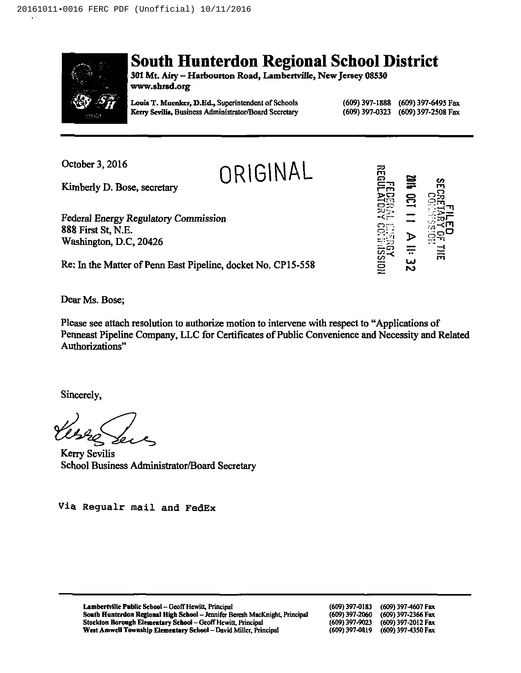

# South Hunterdon Regional School District

301 Mt. Airy - Harbourton Road, Lambertville, New Jersey 08530 www.shred.org

**ORIGINAL** 

Louis T. Muenker, D.Ed., Superintendent of Schools Keny Scvilis, Business Administrator/Board Secretary (609) 397-1888 (609) 397-6495 Fax (609) 397-2508 Fax

October 3, 2016

Kimberly D. Bose, secretary

Federal Energy Regulatory Commission 888 First St, N.E. Washington, D.C, 20426

Re; In the Matter of Penn East Pipeline, docket No. CP15-558



Dear Ms. Bose;

Please see attach resolution to authorize motion to intervene with respect to "Applications of Penneast Pipeline Company, LLC for Certificates of Public Convenience and Necessity and Related Authorizations"

Sincerely,

Kerry Sevilis School Business Administrator/Board Secretary

Via Regualr mail and FedEx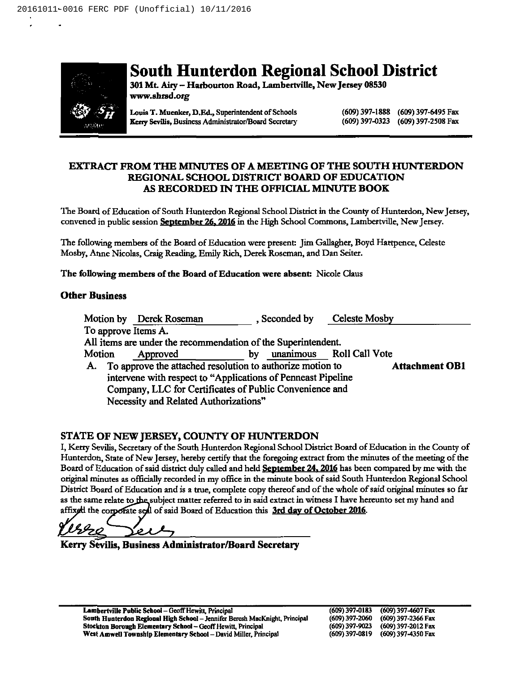

# South Hunterdon Regional School District

301Mt. Aity —Harbourton Road, Lambertville, New Jersey 08330 www.shrsd.org

Louis T. Muenker, D.Ed., Superintendent of Schools Kerry Sevilis, Business Administrator/Board Secretary (609) 397-1888 (609) 397-6495 Fax (609) 397-2508 Fax

# EXTRACT FROM THE MINUTES OF A MEETING OF THE SOUTH HUNTERDON REGIONAL SCHOOL DISTRICT BOARD OF EDUCATION AS RECORDED IN THE OFFICIAL MINUTE BOOK

The Board of Education of South Hunterdon Regional School District in the County of Hunterdon, New Jersey, convened in public session **September 26, 2016** in the High School Commons, Lambertville, New Jersey.

The following members of the Board of Education were present: Jim Gallagher, Boyd Hartpence, Celeste Mosby, Anne Nicolas, Craig Reading, Emily Rich, Derek Roseman, and Dan Seiter.

The following members of the Board of Education were absent: Nicole Claus

# Other Business

|        |                                                         | Motion by Derek Roseman                                       |    | , Seconded by |  | <b>Celeste Mosby</b>     |                       |  |
|--------|---------------------------------------------------------|---------------------------------------------------------------|----|---------------|--|--------------------------|-----------------------|--|
|        |                                                         | To approve Items A.                                           |    |               |  |                          |                       |  |
|        |                                                         | All items are under the recommendation of the Superintendent. |    |               |  |                          |                       |  |
| Motion |                                                         | Approved                                                      | by |               |  | unanimous Roll Call Vote |                       |  |
| A.     |                                                         | To approve the attached resolution to authorize motion to     |    |               |  |                          | <b>Attachment OB1</b> |  |
|        |                                                         | intervene with respect to "Applications of Penneast Pipeline  |    |               |  |                          |                       |  |
|        | Company, LLC for Certificates of Public Convenience and |                                                               |    |               |  |                          |                       |  |
|        |                                                         | Necessity and Related Authorizations"                         |    |               |  |                          |                       |  |

# STATE OF NEW JERSEY, COUNTY OF HUNTERDON

I, Kerry Sevilis, Secretary of the South Hunterdon Regional School District Board of Education in the County of Hunterdon, State of New Jersey, hereby certify that the foregoing extract from the minutes of the meeting of the Board of Education of said district duly called and held September 24, 2016 has been compared by me with the original minutes as officially recorded in my offtce in the minute book of said South Hunterdon Regional School District Board of Education and is a true, complete copy thereof and of the whole of said original minutes so far as the same relate to the subject matter referred to in said extract in witness I have hereunto set my hand and affixed the corporate sedl of said Board of Education this 3rd day of October 2016.

rIzo عرمو

Kerry Sevilis, Business Administrator/Board Secretary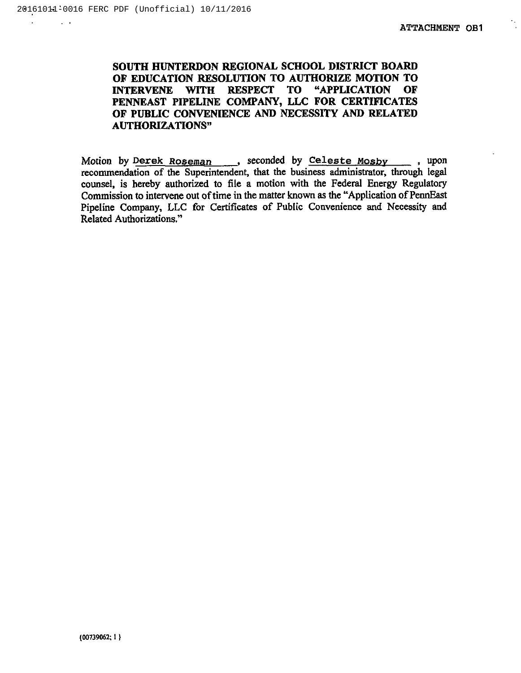$\mathcal{L}^{\mathcal{L}}$ 

 $\sim 10$ 

# SOUTH HUNTERDON REGIONAL SCHOOL DISTRICT BOARD OF EDUCATION RESOLUTION TO AUTHORIZE MOTION TO INTERVENE WITH RESPECT TO "APPLICATION OF PENNEAST PIPELINE COMPANY, LLC FOR CERTIFICATES OF PUBLIC CONVENIENCE AND NECESSITY AND RELATED AUTHORIZATIONS"

Motion by Derek Roseman, seconded by Celeste Mosby, upon recommendation of the Superintendent, that the business administrator, through legal counsel, is hereby authorized to file a motion with the Federal Energy Regulatory Commission to intervene out of time in the matter known as the "Application of PennEast Pipeline Company, LLC for Certificates of Public Convenience and Necessity and Related Authorizations."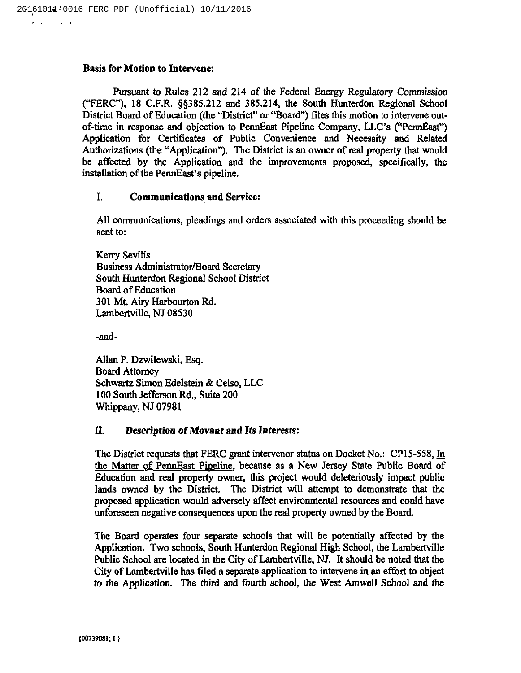$\mathbf{r}=\mathbf{r}$ 

 $\sim$   $\sim$ 

#### Basis for Motion to Intervene:

Pursuant to Rules 212 and 214 of the Federal Energy Regulatory Commission ("FERC"), 18 C.F.R.  $\S$  $\S$ 385.212 and 385.214, the South Hunterdon Regional School District Board of Education (the "District" or "Board") files this motion to intervene outof-time in response and objection to PennEast Pipeline Company, LLC's ("PennEast") Application for Certificates of Public Convenience and Necessity and Related Authorizations (the "Application"). The District is an owner of real property that would be affected by the Application and the improvements proposed, specifically, the installation of the PennEast's pipeline.

#### I. Communications and Service:

All communications, pleadings and orders associated with this proceeding should be sent to:

Kerry Sevilis Business Administrator/Board Secretary South Hunterdon Regional School District Board of Education 301 Mt. Airy Harbourton Rd. Lambertville, NJ 08530

-and-

Allan P. Dzwilewski, Esq. Board Attorney Schwartz Simon Edelstein & Celso, LLC 100 South Jefferson Rd., Suite 200 Whippany, NJ 07981

# II. Description of Movant and Its Interests:

The District requests that FERC grant intervenor status on Docket No.: CP15-558, In the Matter of PennEast Pipeline, because as a New Jersey State Public Board of Education and real property owner, this project would deleteriously impact public lands owned by the District. The District will attempt to demonstrate that the proposed application would adversely affect environmental resources and could have unforeseen negative consequences upon the real property owned by the Board.

The Board operates four separate schools that will be potentially affected by the Application. Two schools, South Hunterdon Regional High School, the Lambertville Public School are located in the City of Lambertville, NJ. It should be noted that the City of Lambertville has filed a separate application to intervene in an effort to object to the Application. The third and fourth school, the West Amwell School and the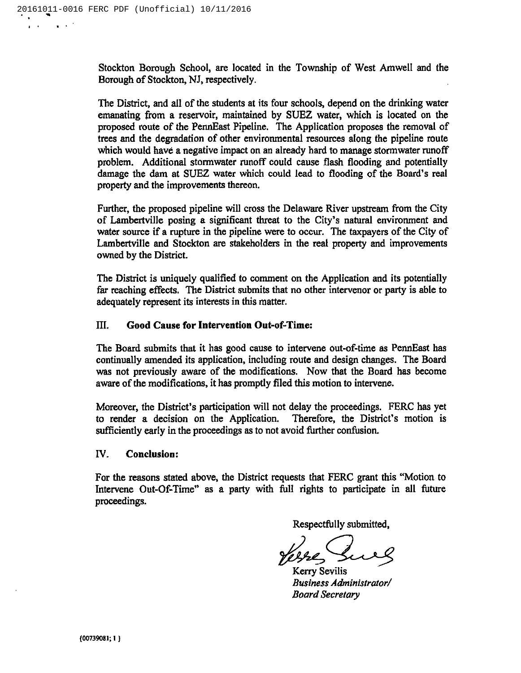Stockton Borough School, are located in the Township of West Amwell and the Borough of Stockton, NJ, respectively.

The District, and all of the students at its four schools, depend on the drinking water emanating from a reservoir, maintained by SUEZ water, which is located on the proposed route of the PennEast Pipeline. The Application proposes the removal of trees and the degradation of other environmental resources along the pipeline route which would have a negative impact on an already hard to manage stormwater runoff problem. Additional stormwater runoff could cause flash flooding and potentially damage the dam at SUEZ water which could lead to flooding of the Board's real property and the improvements thereon.

Further, the proposed pipeline will cross the Delaware River upstream from the City of Lambertville posing a significant threat to the City's natural environment and water source if a rupture in the pipeline were to occur. The taxpayers of the City of Lambertville and Stockton are stakeholders in the real property and improvements owned by the District.

The District is uniquely qualified to comment on the Application and its potentially far reaching effects. The District submits that no other intervenor or party is able to adequately represent its interests in this matter.

# III. Good Cause for Intervention Out-of-Timei

The Board submits that it has good cause to intervene out-of-time as PennEast has continually amended its application, including route and design changes. The Board was not previously aware of the modifications. Now that the Board has become aware of the modifications, it has promptly filed this motion to intervene.

Moreover, the District's participation will not delay the proceedings. FERC has yet to render a decision on the Application. Therefore, the District's motion is sufficiently early in the proceedings as to not avoid further confusion.

#### IV. Conclusion:

For the reasons stated above, the District requests that FERC grant this "Motion to Intervene Out-Of-Time" as a party with full rights to participate in all future proceedings.

Respectfully submitted,

Kerry Sevilis Business Administrator/ Board Secretary